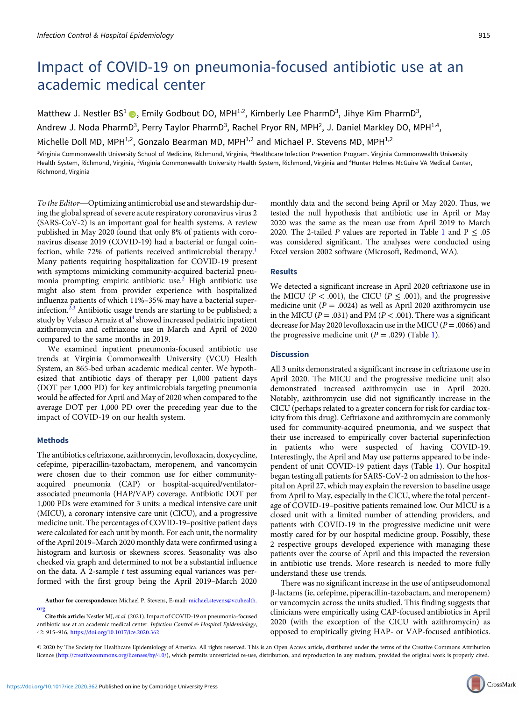# Impact of COVID-19 on pneumonia-focused antibiotic use at an academic medical center

Matthew J. Nestler  $BS^1$  (a), Emily Godbout DO, MPH<sup>1,2</sup>, Kimberly Lee PharmD<sup>3</sup>, Jihye Kim PharmD<sup>3</sup>, Andrew J. Noda PharmD<sup>3</sup>, Perry Taylor PharmD<sup>3</sup>, Rachel Pryor RN, MPH<sup>2</sup>, J. Daniel Markley DO, MPH<sup>1,4</sup>, Michelle Doll MD, MPH<sup>1,2</sup>, Gonzalo Bearman MD, MPH<sup>1,2</sup> and Michael P. Stevens MD, MPH<sup>1,2</sup>

<sup>1</sup>Virginia Commonwealth University School of Medicine, Richmond, Virginia, <sup>2</sup>Healthcare Infection Prevention Program. Virginia Commonwealth University Health System, Richmond, Virginia, <sup>3</sup>Virginia Commonwealth University Health System, Richmond, Virginia and <sup>4</sup>Hunter Holmes McGuire VA Medical Center, Richmond, Virginia

To the Editor—Optimizing antimicrobial use and stewardship during the global spread of severe acute respiratory coronavirus virus 2 (SARS-CoV-2) is an important goal for health systems. A review published in May 2020 found that only 8% of patients with coronavirus disease 2019 (COVID-19) had a bacterial or fungal coinfection, while 72% of patients received antimicrobial therapy.<sup>1</sup> Many patients requiring hospitalization for COVID-19 present with symptoms mimicking community-acquired bacterial pneumonia prompting empiric antibiotic use.<sup>2</sup> High antibiotic use might also stem from provider experience with hospitalized influenza patients of which 11%–35% may have a bacterial superinfection. $2,3$  Antibiotic usage trends are starting to be published; a study by Velasco Arnaiz et al<sup>4</sup> showed increased pediatric inpatient azithromycin and ceftriaxone use in March and April of 2020 compared to the same months in 2019.

We examined inpatient pneumonia-focused antibiotic use trends at Virginia Commonwealth University (VCU) Health System, an 865-bed urban academic medical center. We hypothesized that antibiotic days of therapy per 1,000 patient days (DOT per 1,000 PD) for key antimicrobials targeting pneumonia would be affected for April and May of 2020 when compared to the average DOT per 1,000 PD over the preceding year due to the impact of COVID-19 on our health system.

### Methods

The antibiotics ceftriaxone, azithromycin, levofloxacin, doxycycline, cefepime, piperacillin-tazobactam, meropenem, and vancomycin were chosen due to their common use for either communityacquired pneumonia (CAP) or hospital-acquired/ventilatorassociated pneumonia (HAP/VAP) coverage. Antibiotic DOT per 1,000 PDs were examined for 3 units: a medical intensive care unit (MICU), a coronary intensive care unit (CICU), and a progressive medicine unit. The percentages of COVID-19–positive patient days were calculated for each unit by month. For each unit, the normality of the April 2019–March 2020 monthly data were confirmed using a histogram and kurtosis or skewness scores. Seasonality was also checked via graph and determined to not be a substantial influence on the data. A 2-sample  $t$  test assuming equal variances was performed with the first group being the April 2019–March 2020

Author for correspondence: Michael P. Stevens, E-mail: [michael.stevens@vcuhealth.](mailto:michael.stevens@vcuhealth.org) [org](mailto:michael.stevens@vcuhealth.org)

Cite this article: Nestler MJ, et al. (2021). Impact of COVID-19 on pneumonia-focused antibiotic use at an academic medical center. Infection Control & Hospital Epidemiology, 42: 915–916, <https://doi.org/10.1017/ice.2020.362>

monthly data and the second being April or May 2020. Thus, we tested the null hypothesis that antibiotic use in April or May 2020 was the same as the mean use from April 2019 to March 2020. The 2-tailed P values are reported in Table 1 and  $P \leq .05$ was considered significant. The analyses were conducted using Excel version 2002 software (Microsoft, Redmond, WA).

## Results

We detected a significant increase in April 2020 ceftriaxone use in the MICU ( $P < .001$ ), the CICU ( $P \le .001$ ), and the progressive medicine unit ( $P = .0024$ ) as well as April 2020 azithromycin use in the MICU ( $P = .031$ ) and PM ( $P < .001$ ). There was a significant decrease for May 2020 levofloxacin use in the MICU ( $P = .0066$ ) and the progressive medicine unit ( $P = .029$ ) (Table 1).

### **Discussion**

All 3 units demonstrated a significant increase in ceftriaxone use in April 2020. The MICU and the progressive medicine unit also demonstrated increased azithromycin use in April 2020. Notably, azithromycin use did not significantly increase in the CICU (perhaps related to a greater concern for risk for cardiac toxicity from this drug). Ceftriaxone and azithromycin are commonly used for community-acquired pneumonia, and we suspect that their use increased to empirically cover bacterial superinfection in patients who were suspected of having COVID-19. Interestingly, the April and May use patterns appeared to be independent of unit COVID-19 patient days (Table 1). Our hospital began testing all patients for SARS-CoV-2 on admission to the hospital on April 27, which may explain the reversion to baseline usage from April to May, especially in the CICU, where the total percentage of COVID-19–positive patients remained low. Our MICU is a closed unit with a limited number of attending providers, and patients with COVID-19 in the progressive medicine unit were mostly cared for by our hospital medicine group. Possibly, these 2 respective groups developed experience with managing these patients over the course of April and this impacted the reversion in antibiotic use trends. More research is needed to more fully understand these use trends.

There was no significant increase in the use of antipseudomonal β-lactams (ie, cefepime, piperacillin-tazobactam, and meropenem) or vancomycin across the units studied. This finding suggests that clinicians were empirically using CAP-focused antibiotics in April 2020 (with the exception of the CICU with azithromycin) as opposed to empirically giving HAP- or VAP-focused antibiotics.

© 2020 by The Society for Healthcare Epidemiology of America. All rights reserved. This is an Open Access article, distributed under the terms of the Creative Commons Attribution licence ([http://creativecommons.org/licenses/by/4.0/\)](Undefined namespace prefix), which permits unrestricted re-use, distribution, and reproduction in any medium, provided the original work is properly cited.